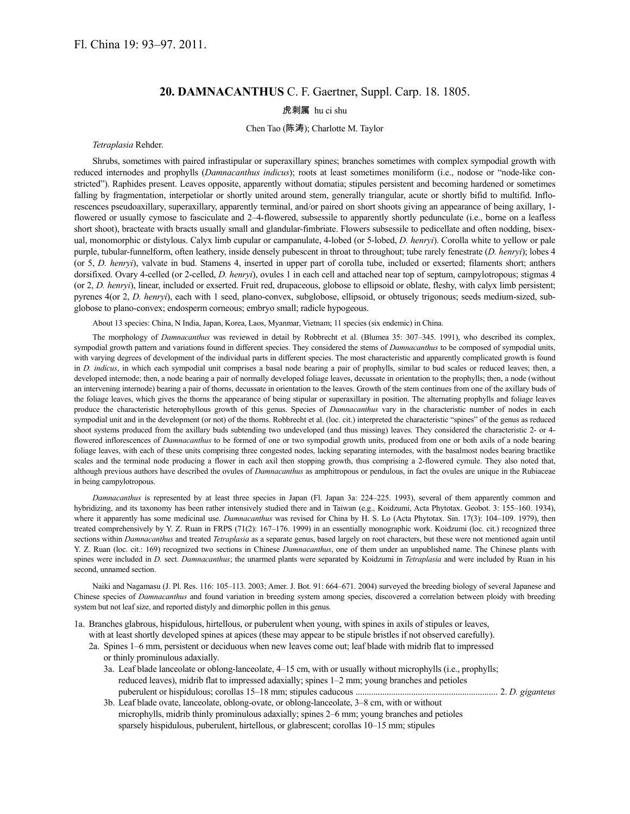# **20. DAMNACANTHUS** C. F. Gaertner, Suppl. Carp. 18. 1805.

## 虎刺属 hu ci shu

### Chen Tao (陈涛); Charlotte M. Taylor

#### *Tetraplasia* Rehder.

Shrubs, sometimes with paired infrastipular or superaxillary spines; branches sometimes with complex sympodial growth with reduced internodes and prophylls (*Damnacanthus indicus*); roots at least sometimes moniliform (i.e., nodose or "node-like constricted"). Raphides present. Leaves opposite, apparently without domatia; stipules persistent and becoming hardened or sometimes falling by fragmentation, interpetiolar or shortly united around stem, generally triangular, acute or shortly bifid to multifid. Inflorescences pseudoaxillary, superaxillary, apparently terminal, and/or paired on short shoots giving an appearance of being axillary, 1 flowered or usually cymose to fasciculate and 2–4-flowered, subsessile to apparently shortly pedunculate (i.e., borne on a leafless short shoot), bracteate with bracts usually small and glandular-fimbriate. Flowers subsessile to pedicellate and often nodding, bisexual, monomorphic or distylous. Calyx limb cupular or campanulate, 4-lobed (or 5-lobed, *D. henryi*). Corolla white to yellow or pale purple, tubular-funnelform, often leathery, inside densely pubescent in throat to throughout; tube rarely fenestrate (*D. henryi*); lobes 4 (or 5, *D. henryi*), valvate in bud. Stamens 4, inserted in upper part of corolla tube, included or exserted; filaments short; anthers dorsifixed. Ovary 4-celled (or 2-celled, *D. henryi*), ovules 1 in each cell and attached near top of septum, campylotropous; stigmas 4 (or 2, *D. henryi*), linear, included or exserted. Fruit red, drupaceous, globose to ellipsoid or oblate, fleshy, with calyx limb persistent; pyrenes 4(or 2, *D. henryi*), each with 1 seed, plano-convex, subglobose, ellipsoid, or obtusely trigonous; seeds medium-sized, subglobose to plano-convex; endosperm corneous; embryo small; radicle hypogeous.

About 13 species: China, N India, Japan, Korea, Laos, Myanmar, Vietnam; 11 species (six endemic) in China.

The morphology of *Damnacanthus* was reviewed in detail by Robbrecht et al. (Blumea 35: 307–345. 1991), who described its complex, sympodial growth pattern and variations found in different species. They considered the stems of *Damnacanthus* to be composed of sympodial units, with varying degrees of development of the individual parts in different species. The most characteristic and apparently complicated growth is found in *D. indicus*, in which each sympodial unit comprises a basal node bearing a pair of prophylls, similar to bud scales or reduced leaves; then, a developed internode; then, a node bearing a pair of normally developed foliage leaves, decussate in orientation to the prophylls; then, a node (without an intervening internode) bearing a pair of thorns, decussate in orientation to the leaves. Growth of the stem continues from one of the axillary buds of the foliage leaves, which gives the thorns the appearance of being stipular or superaxillary in position. The alternating prophylls and foliage leaves produce the characteristic heterophyllous growth of this genus. Species of *Damnacanthus* vary in the characteristic number of nodes in each sympodial unit and in the development (or not) of the thorns. Robbrecht et al. (loc. cit.) interpreted the characteristic "spines" of the genus as reduced shoot systems produced from the axillary buds subtending two undeveloped (and thus missing) leaves. They considered the characteristic 2- or 4 flowered inflorescences of *Damnacanthus* to be formed of one or two sympodial growth units, produced from one or both axils of a node bearing foliage leaves, with each of these units comprising three congested nodes, lacking separating internodes, with the basalmost nodes bearing bractlike scales and the terminal node producing a flower in each axil then stopping growth, thus comprising a 2-flowered cymule. They also noted that, although previous authors have described the ovules of *Damnacanthus* as amphitropous or pendulous, in fact the ovules are unique in the Rubiaceae in being campylotropous.

*Damnacanthus* is represented by at least three species in Japan (Fl. Japan 3a: 224–225. 1993), several of them apparently common and hybridizing, and its taxonomy has been rather intensively studied there and in Taiwan (e.g., Koidzumi, Acta Phytotax. Geobot. 3: 155–160. 1934), where it apparently has some medicinal use. *Damnacanthus* was revised for China by H. S. Lo (Acta Phytotax. Sin. 17(3): 104–109. 1979), then treated comprehensively by Y. Z. Ruan in FRPS (71(2): 167–176. 1999) in an essentially monographic work. Koidzumi (loc. cit.) recognized three sections within *Damnacanthus* and treated *Tetraplasia* as a separate genus, based largely on root characters, but these were not mentioned again until Y. Z. Ruan (loc. cit.: 169) recognized two sections in Chinese *Damnacanthus*, one of them under an unpublished name. The Chinese plants with spines were included in *D.* sect. *Damnacanthus*; the unarmed plants were separated by Koidzumi in *Tetraplasia* and were included by Ruan in his second, unnamed section.

Naiki and Nagamasu (J. Pl. Res. 116: 105–113. 2003; Amer. J. Bot. 91: 664–671. 2004) surveyed the breeding biology of several Japanese and Chinese species of *Damnacanthus* and found variation in breeding system among species, discovered a correlation between ploidy with breeding system but not leaf size, and reported distyly and dimorphic pollen in this genus.

1a. Branches glabrous, hispidulous, hirtellous, or puberulent when young, with spines in axils of stipules or leaves, with at least shortly developed spines at apices (these may appear to be stipule bristles if not observed carefully).

- 2a. Spines 1–6 mm, persistent or deciduous when new leaves come out; leaf blade with midrib flat to impressed or thinly prominulous adaxially.
	- 3a. Leaf blade lanceolate or oblong-lanceolate, 4–15 cm, with or usually without microphylls (i.e., prophylls; reduced leaves), midrib flat to impressed adaxially; spines 1–2 mm; young branches and petioles puberulent or hispidulous; corollas 15–18 mm; stipules caducous ................................................................ 2. *D. giganteus*
	- 3b. Leaf blade ovate, lanceolate, oblong-ovate, or oblong-lanceolate, 3–8 cm, with or without microphylls, midrib thinly prominulous adaxially; spines 2–6 mm; young branches and petioles sparsely hispidulous, puberulent, hirtellous, or glabrescent; corollas 10–15 mm; stipules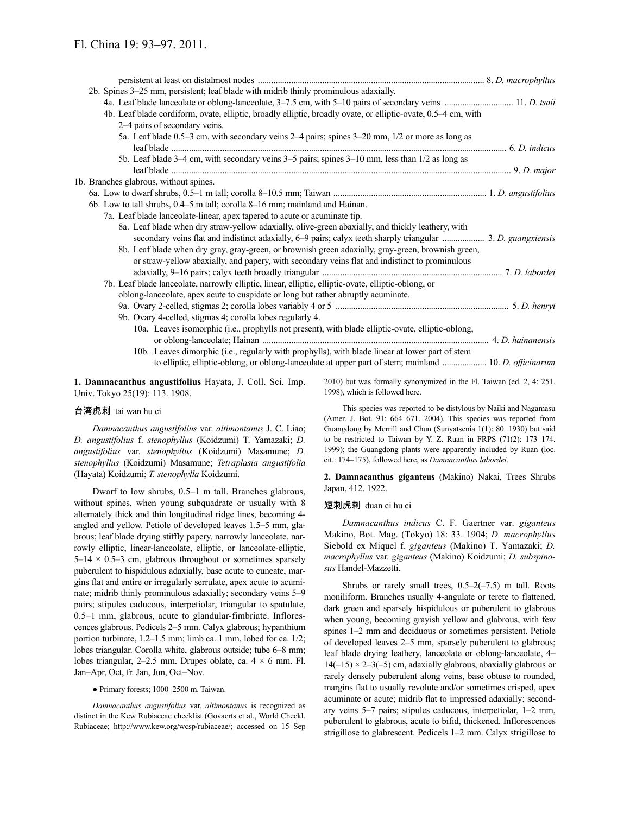| 2b. Spines 3-25 mm, persistent; leaf blade with midrib thinly prominulous adaxially.                          |  |
|---------------------------------------------------------------------------------------------------------------|--|
|                                                                                                               |  |
| 4b. Leaf blade cordiform, ovate, elliptic, broadly elliptic, broadly ovate, or elliptic-ovate, 0.5–4 cm, with |  |
| 2–4 pairs of secondary veins.                                                                                 |  |
| 5a. Leaf blade 0.5–3 cm, with secondary veins 2–4 pairs; spines 3–20 mm, 1/2 or more as long as               |  |
|                                                                                                               |  |
| 5b. Leaf blade 3–4 cm, with secondary veins 3–5 pairs; spines 3–10 mm, less than 1/2 as long as               |  |
|                                                                                                               |  |
| 1b. Branches glabrous, without spines.                                                                        |  |
|                                                                                                               |  |
| 6b. Low to tall shrubs, 0.4–5 m tall; corolla 8–16 mm; mainland and Hainan.                                   |  |
| 7a. Leaf blade lanceolate-linear, apex tapered to acute or acuminate tip.                                     |  |
| 8a. Leaf blade when dry straw-yellow adaxially, olive-green abaxially, and thickly leathery, with             |  |
|                                                                                                               |  |
| 8b. Leaf blade when dry gray, gray-green, or brownish green adaxially, gray-green, brownish green,            |  |
| or straw-yellow abaxially, and papery, with secondary veins flat and indistinct to prominulous                |  |
|                                                                                                               |  |
| 7b. Leaf blade lanceolate, narrowly elliptic, linear, elliptic, elliptic-ovate, elliptic-oblong, or           |  |
| oblong-lanceolate, apex acute to cuspidate or long but rather abruptly acuminate.                             |  |
|                                                                                                               |  |
| 9b. Ovary 4-celled, stigmas 4; corolla lobes regularly 4.                                                     |  |
| 10a. Leaves isomorphic (i.e., prophylls not present), with blade elliptic-ovate, elliptic-oblong,             |  |
|                                                                                                               |  |
| 10b. Leaves dimorphic (i.e., regularly with prophylls), with blade linear at lower part of stem               |  |
| to elliptic, elliptic-oblong, or oblong-lanceolate at upper part of stem; mainland  10. D. officinarum        |  |
|                                                                                                               |  |

**1. Damnacanthus angustifolius** Hayata, J. Coll. Sci. Imp. Univ. Tokyo 25(19): 113. 1908.

#### 台湾虎刺 tai wan hu ci

*Damnacanthus angustifolius* var. *altimontanus* J. C. Liao; *D. angustifolius* f. *stenophyllus* (Koidzumi) T. Yamazaki; *D. angustifolius* var. *stenophyllus* (Koidzumi) Masamune; *D. stenophyllus* (Koidzumi) Masamune; *Tetraplasia angustifolia* (Hayata) Koidzumi; *T. stenophylla* Koidzumi.

Dwarf to low shrubs, 0.5–1 m tall. Branches glabrous, without spines, when young subquadrate or usually with 8 alternately thick and thin longitudinal ridge lines, becoming 4 angled and yellow. Petiole of developed leaves 1.5–5 mm, glabrous; leaf blade drying stiffly papery, narrowly lanceolate, narrowly elliptic, linear-lanceolate, elliptic, or lanceolate-elliptic,  $5-14 \times 0.5-3$  cm, glabrous throughout or sometimes sparsely puberulent to hispidulous adaxially, base acute to cuneate, margins flat and entire or irregularly serrulate, apex acute to acuminate; midrib thinly prominulous adaxially; secondary veins 5–9 pairs; stipules caducous, interpetiolar, triangular to spatulate, 0.5–1 mm, glabrous, acute to glandular-fimbriate. Inflorescences glabrous. Pedicels 2–5 mm. Calyx glabrous; hypanthium portion turbinate, 1.2–1.5 mm; limb ca. 1 mm, lobed for ca. 1/2; lobes triangular. Corolla white, glabrous outside; tube 6–8 mm; lobes triangular, 2–2.5 mm. Drupes oblate, ca.  $4 \times 6$  mm. Fl. Jan–Apr, Oct, fr. Jan, Jun, Oct–Nov.

● Primary forests; 1000–2500 m. Taiwan.

*Damnacanthus angustifolius* var. *altimontanus* is recognized as distinct in the Kew Rubiaceae checklist (Govaerts et al., World Checkl. Rubiaceae; http://www.kew.org/wcsp/rubiaceae/; accessed on 15 Sep 2010) but was formally synonymized in the Fl. Taiwan (ed. 2, 4: 251. 1998), which is followed here.

This species was reported to be distylous by Naiki and Nagamasu (Amer. J. Bot. 91: 664–671. 2004). This species was reported from Guangdong by Merrill and Chun (Sunyatsenia 1(1): 80. 1930) but said to be restricted to Taiwan by Y. Z. Ruan in FRPS (71(2): 173–174. 1999); the Guangdong plants were apparently included by Ruan (loc. cit.: 174–175), followed here, as *Damnacanthus labordei*.

**2. Damnacanthus giganteus** (Makino) Nakai, Trees Shrubs Japan, 412. 1922.

#### 短刺虎刺 duan ci hu ci

*Damnacanthus indicus* C. F. Gaertner var. *giganteus* Makino, Bot. Mag. (Tokyo) 18: 33. 1904; *D. macrophyllus* Siebold ex Miquel f. *giganteus* (Makino) T. Yamazaki; *D. macrophyllus* var. *giganteus* (Makino) Koidzumi; *D. subspinosus* Handel-Mazzetti.

Shrubs or rarely small trees,  $0.5-2(-7.5)$  m tall. Roots moniliform. Branches usually 4-angulate or terete to flattened, dark green and sparsely hispidulous or puberulent to glabrous when young, becoming grayish yellow and glabrous, with few spines 1–2 mm and deciduous or sometimes persistent. Petiole of developed leaves 2–5 mm, sparsely puberulent to glabrous; leaf blade drying leathery, lanceolate or oblong-lanceolate, 4–  $14(-15) \times 2-3(-5)$  cm, adaxially glabrous, abaxially glabrous or rarely densely puberulent along veins, base obtuse to rounded, margins flat to usually revolute and/or sometimes crisped, apex acuminate or acute; midrib flat to impressed adaxially; secondary veins 5–7 pairs; stipules caducous, interpetiolar, 1–2 mm, puberulent to glabrous, acute to bifid, thickened. Inflorescences strigillose to glabrescent. Pedicels 1–2 mm. Calyx strigillose to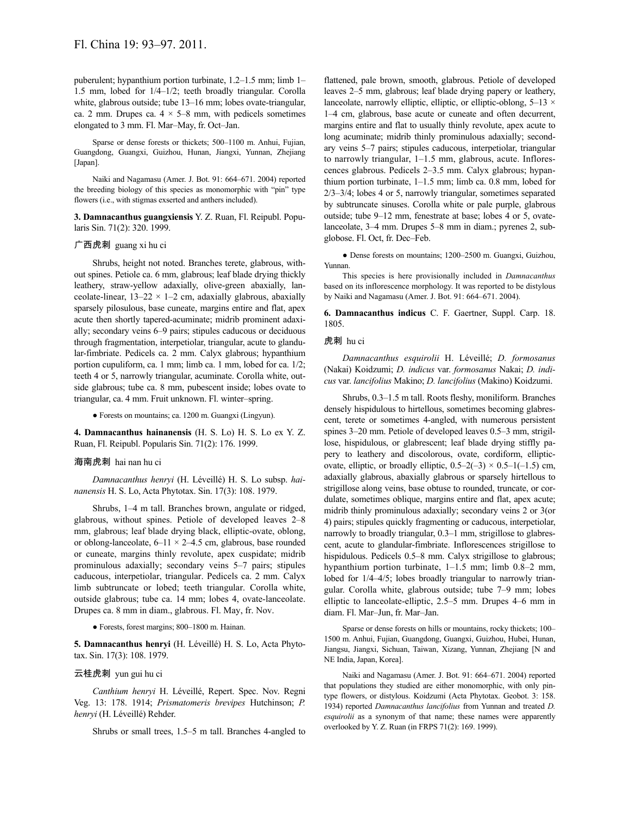puberulent; hypanthium portion turbinate, 1.2–1.5 mm; limb 1– 1.5 mm, lobed for 1/4–1/2; teeth broadly triangular. Corolla white, glabrous outside; tube 13–16 mm; lobes ovate-triangular, ca. 2 mm. Drupes ca.  $4 \times 5-8$  mm, with pedicels sometimes elongated to 3 mm. Fl. Mar–May, fr. Oct–Jan.

Sparse or dense forests or thickets; 500–1100 m. Anhui, Fujian, Guangdong, Guangxi, Guizhou, Hunan, Jiangxi, Yunnan, Zhejiang [Japan].

Naiki and Nagamasu (Amer. J. Bot. 91: 664–671. 2004) reported the breeding biology of this species as monomorphic with "pin" type flowers (i.e., with stigmas exserted and anthers included).

**3. Damnacanthus guangxiensis** Y. Z. Ruan, Fl. Reipubl. Popularis Sin. 71(2): 320. 1999.

### 广西虎刺 guang xi hu ci

Shrubs, height not noted. Branches terete, glabrous, without spines. Petiole ca. 6 mm, glabrous; leaf blade drying thickly leathery, straw-yellow adaxially, olive-green abaxially, lanceolate-linear,  $13-22 \times 1-2$  cm, adaxially glabrous, abaxially sparsely pilosulous, base cuneate, margins entire and flat, apex acute then shortly tapered-acuminate; midrib prominent adaxially; secondary veins 6–9 pairs; stipules caducous or deciduous through fragmentation, interpetiolar, triangular, acute to glandular-fimbriate. Pedicels ca. 2 mm. Calyx glabrous; hypanthium portion cupuliform, ca. 1 mm; limb ca. 1 mm, lobed for ca. 1/2; teeth 4 or 5, narrowly triangular, acuminate. Corolla white, outside glabrous; tube ca. 8 mm, pubescent inside; lobes ovate to triangular, ca. 4 mm. Fruit unknown. Fl. winter–spring.

● Forests on mountains; ca. 1200 m. Guangxi (Lingyun).

**4. Damnacanthus hainanensis** (H. S. Lo) H. S. Lo ex Y. Z. Ruan, Fl. Reipubl. Popularis Sin. 71(2): 176. 1999.

#### 海南虎刺 hai nan hu ci

*Damnacanthus henryi* (H. Léveillé) H. S. Lo subsp. *hainanensis* H. S. Lo, Acta Phytotax. Sin. 17(3): 108. 1979.

Shrubs, 1–4 m tall. Branches brown, angulate or ridged, glabrous, without spines. Petiole of developed leaves 2–8 mm, glabrous; leaf blade drying black, elliptic-ovate, oblong, or oblong-lanceolate,  $6-11 \times 2-4.5$  cm, glabrous, base rounded or cuneate, margins thinly revolute, apex cuspidate; midrib prominulous adaxially; secondary veins 5–7 pairs; stipules caducous, interpetiolar, triangular. Pedicels ca. 2 mm. Calyx limb subtruncate or lobed; teeth triangular. Corolla white, outside glabrous; tube ca. 14 mm; lobes 4, ovate-lanceolate. Drupes ca. 8 mm in diam., glabrous. Fl. May, fr. Nov.

● Forests, forest margins; 800–1800 m. Hainan.

**5. Damnacanthus henryi** (H. Léveillé) H. S. Lo, Acta Phytotax. Sin. 17(3): 108. 1979.

### 云桂虎刺 yun gui hu ci

*Canthium henryi* H. Léveillé, Repert. Spec. Nov. Regni Veg. 13: 178. 1914; *Prismatomeris brevipes* Hutchinson; *P. henryi* (H. Léveillé) Rehder.

Shrubs or small trees, 1.5–5 m tall. Branches 4-angled to

flattened, pale brown, smooth, glabrous. Petiole of developed leaves 2–5 mm, glabrous; leaf blade drying papery or leathery, lanceolate, narrowly elliptic, elliptic, or elliptic-oblong,  $5-13 \times$ 1–4 cm, glabrous, base acute or cuneate and often decurrent, margins entire and flat to usually thinly revolute, apex acute to long acuminate; midrib thinly prominulous adaxially; secondary veins 5–7 pairs; stipules caducous, interpetiolar, triangular to narrowly triangular, 1–1.5 mm, glabrous, acute. Inflorescences glabrous. Pedicels 2–3.5 mm. Calyx glabrous; hypanthium portion turbinate, 1–1.5 mm; limb ca. 0.8 mm, lobed for 2/3–3/4; lobes 4 or 5, narrowly triangular, sometimes separated by subtruncate sinuses. Corolla white or pale purple, glabrous outside; tube 9–12 mm, fenestrate at base; lobes 4 or 5, ovatelanceolate, 3–4 mm. Drupes 5–8 mm in diam.; pyrenes 2, subglobose. Fl. Oct, fr. Dec–Feb.

● Dense forests on mountains; 1200–2500 m. Guangxi, Guizhou, Yunnan.

This species is here provisionally included in *Damnacanthus* based on its inflorescence morphology. It was reported to be distylous by Naiki and Nagamasu (Amer. J. Bot. 91: 664–671. 2004).

**6. Damnacanthus indicus** C. F. Gaertner, Suppl. Carp. 18. 1805.

### 虎刺 hu ci

*Damnacanthus esquirolii* H. Léveillé; *D. formosanus* (Nakai) Koidzumi; *D. indicus* var. *formosanus* Nakai; *D. indicus* var. *lancifolius* Makino; *D. lancifolius* (Makino) Koidzumi.

Shrubs, 0.3–1.5 m tall. Roots fleshy, moniliform. Branches densely hispidulous to hirtellous, sometimes becoming glabrescent, terete or sometimes 4-angled, with numerous persistent spines 3–20 mm. Petiole of developed leaves 0.5–3 mm, strigillose, hispidulous, or glabrescent; leaf blade drying stiffly papery to leathery and discolorous, ovate, cordiform, ellipticovate, elliptic, or broadly elliptic,  $0.5-2(-3) \times 0.5-1(-1.5)$  cm, adaxially glabrous, abaxially glabrous or sparsely hirtellous to strigillose along veins, base obtuse to rounded, truncate, or cordulate, sometimes oblique, margins entire and flat, apex acute; midrib thinly prominulous adaxially; secondary veins 2 or 3(or 4) pairs; stipules quickly fragmenting or caducous, interpetiolar, narrowly to broadly triangular, 0.3–1 mm, strigillose to glabrescent, acute to glandular-fimbriate. Inflorescences strigillose to hispidulous. Pedicels 0.5–8 mm. Calyx strigillose to glabrous; hypanthium portion turbinate, 1–1.5 mm; limb 0.8–2 mm, lobed for  $1/4-4/5$ ; lobes broadly triangular to narrowly triangular. Corolla white, glabrous outside; tube 7–9 mm; lobes elliptic to lanceolate-elliptic, 2.5–5 mm. Drupes 4–6 mm in diam. Fl. Mar–Jun, fr. Mar–Jan.

Sparse or dense forests on hills or mountains, rocky thickets; 100– 1500 m. Anhui, Fujian, Guangdong, Guangxi, Guizhou, Hubei, Hunan, Jiangsu, Jiangxi, Sichuan, Taiwan, Xizang, Yunnan, Zhejiang [N and NE India, Japan, Korea].

Naiki and Nagamasu (Amer. J. Bot. 91: 664–671. 2004) reported that populations they studied are either monomorphic, with only pintype flowers, or distylous. Koidzumi (Acta Phytotax. Geobot. 3: 158. 1934) reported *Damnacanthus lancifolius* from Yunnan and treated *D. esquirolii* as a synonym of that name; these names were apparently overlooked by Y. Z. Ruan (in FRPS 71(2): 169. 1999).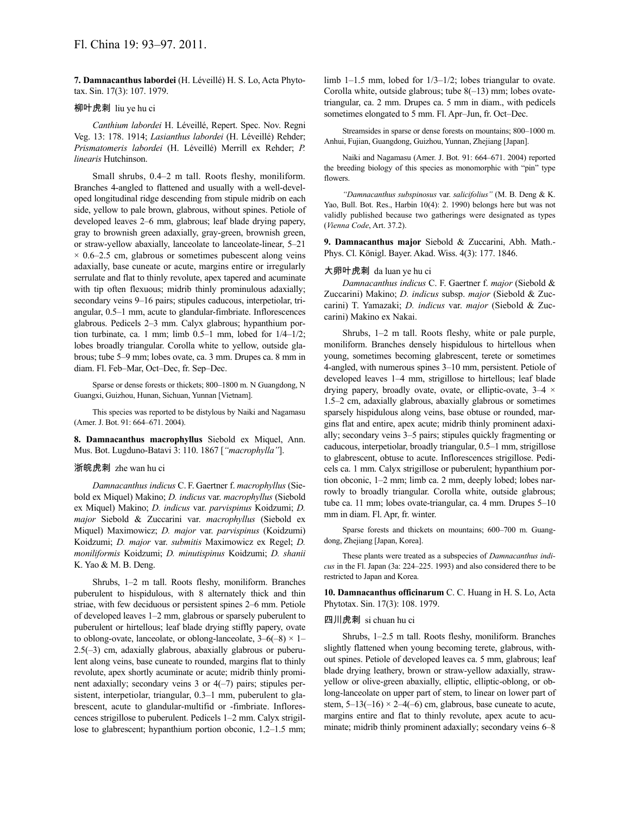**7. Damnacanthus labordei** (H. Léveillé) H. S. Lo, Acta Phytotax. Sin. 17(3): 107. 1979.

### 柳叶虎刺 liu ye hu ci

*Canthium labordei* H. Léveillé, Repert. Spec. Nov. Regni Veg. 13: 178. 1914; *Lasianthus labordei* (H. Léveillé) Rehder; *Prismatomeris labordei* (H. Léveillé) Merrill ex Rehder; *P. linearis* Hutchinson.

Small shrubs, 0.4–2 m tall. Roots fleshy, moniliform. Branches 4-angled to flattened and usually with a well-developed longitudinal ridge descending from stipule midrib on each side, yellow to pale brown, glabrous, without spines. Petiole of developed leaves 2–6 mm, glabrous; leaf blade drying papery, gray to brownish green adaxially, gray-green, brownish green, or straw-yellow abaxially, lanceolate to lanceolate-linear, 5–21  $\times$  0.6–2.5 cm, glabrous or sometimes pubescent along veins adaxially, base cuneate or acute, margins entire or irregularly serrulate and flat to thinly revolute, apex tapered and acuminate with tip often flexuous; midrib thinly prominulous adaxially; secondary veins 9–16 pairs; stipules caducous, interpetiolar, triangular, 0.5–1 mm, acute to glandular-fimbriate. Inflorescences glabrous. Pedicels 2–3 mm. Calyx glabrous; hypanthium portion turbinate, ca. 1 mm; limb 0.5–1 mm, lobed for 1/4–1/2; lobes broadly triangular. Corolla white to yellow, outside glabrous; tube 5–9 mm; lobes ovate, ca. 3 mm. Drupes ca. 8 mm in diam. Fl. Feb–Mar, Oct–Dec, fr. Sep–Dec.

Sparse or dense forests or thickets; 800–1800 m. N Guangdong, N Guangxi, Guizhou, Hunan, Sichuan, Yunnan [Vietnam].

This species was reported to be distylous by Naiki and Nagamasu (Amer. J. Bot. 91: 664–671. 2004).

**8. Damnacanthus macrophyllus** Siebold ex Miquel, Ann. Mus. Bot. Lugduno-Batavi 3: 110. 1867 [*"macrophylla"*].

#### 浙皖虎刺 zhe wan hu ci

*Damnacanthus indicus* C. F. Gaertner f. *macrophyllus* (Siebold ex Miquel) Makino; *D. indicus* var. *macrophyllus* (Siebold ex Miquel) Makino; *D. indicus* var. *parvispinus* Koidzumi; *D. major* Siebold & Zuccarini var. *macrophyllus* (Siebold ex Miquel) Maximowicz; *D. major* var. *parvispinus* (Koidzumi) Koidzumi; *D. major* var. *submitis* Maximowicz ex Regel; *D. moniliformis* Koidzumi; *D. minutispinus* Koidzumi; *D. shanii* K. Yao & M. B. Deng.

Shrubs, 1–2 m tall. Roots fleshy, moniliform. Branches puberulent to hispidulous, with 8 alternately thick and thin striae, with few deciduous or persistent spines 2–6 mm. Petiole of developed leaves 1–2 mm, glabrous or sparsely puberulent to puberulent or hirtellous; leaf blade drying stiffly papery, ovate to oblong-ovate, lanceolate, or oblong-lanceolate,  $3-6(-8) \times 1-$ 2.5(–3) cm, adaxially glabrous, abaxially glabrous or puberulent along veins, base cuneate to rounded, margins flat to thinly revolute, apex shortly acuminate or acute; midrib thinly prominent adaxially; secondary veins 3 or 4(–7) pairs; stipules persistent, interpetiolar, triangular, 0.3–1 mm, puberulent to glabrescent, acute to glandular-multifid or -fimbriate. Inflorescences strigillose to puberulent. Pedicels 1–2 mm. Calyx strigillose to glabrescent; hypanthium portion obconic, 1.2–1.5 mm; limb 1–1.5 mm, lobed for 1/3–1/2; lobes triangular to ovate. Corolla white, outside glabrous; tube 8(–13) mm; lobes ovatetriangular, ca. 2 mm. Drupes ca. 5 mm in diam., with pedicels sometimes elongated to 5 mm. Fl. Apr–Jun, fr. Oct–Dec.

Streamsides in sparse or dense forests on mountains; 800–1000 m. Anhui, Fujian, Guangdong, Guizhou, Yunnan, Zhejiang [Japan].

Naiki and Nagamasu (Amer. J. Bot. 91: 664–671. 2004) reported the breeding biology of this species as monomorphic with "pin" type flowers.

*"Damnacanthus subspinosus* var. *salicifolius"* (M. B. Deng & K. Yao, Bull. Bot. Res., Harbin 10(4): 2. 1990) belongs here but was not validly published because two gatherings were designated as types (*Vienna Code*, Art. 37.2).

**9. Damnacanthus major** Siebold & Zuccarini, Abh. Math.- Phys. Cl. Königl. Bayer. Akad. Wiss. 4(3): 177. 1846.

#### 大卵叶虎刺 da luan ye hu ci

*Damnacanthus indicus* C. F. Gaertner f. *major* (Siebold & Zuccarini) Makino; *D. indicus* subsp. *major* (Siebold & Zuccarini) T. Yamazaki; *D. indicus* var. *major* (Siebold & Zuccarini) Makino ex Nakai.

Shrubs, 1–2 m tall. Roots fleshy, white or pale purple, moniliform. Branches densely hispidulous to hirtellous when young, sometimes becoming glabrescent, terete or sometimes 4-angled, with numerous spines 3–10 mm, persistent. Petiole of developed leaves 1–4 mm, strigillose to hirtellous; leaf blade drying papery, broadly ovate, ovate, or elliptic-ovate,  $3-4 \times$ 1.5–2 cm, adaxially glabrous, abaxially glabrous or sometimes sparsely hispidulous along veins, base obtuse or rounded, margins flat and entire, apex acute; midrib thinly prominent adaxially; secondary veins 3–5 pairs; stipules quickly fragmenting or caducous, interpetiolar, broadly triangular, 0.5–1 mm, strigillose to glabrescent, obtuse to acute. Inflorescences strigillose. Pedicels ca. 1 mm. Calyx strigillose or puberulent; hypanthium portion obconic, 1–2 mm; limb ca. 2 mm, deeply lobed; lobes narrowly to broadly triangular. Corolla white, outside glabrous; tube ca. 11 mm; lobes ovate-triangular, ca. 4 mm. Drupes 5–10 mm in diam. Fl. Apr, fr. winter.

Sparse forests and thickets on mountains; 600–700 m. Guangdong, Zhejiang [Japan, Korea].

These plants were treated as a subspecies of *Damnacanthus indicus* in the Fl. Japan (3a: 224–225. 1993) and also considered there to be restricted to Japan and Korea.

**10. Damnacanthus officinarum** C. C. Huang in H. S. Lo, Acta Phytotax. Sin. 17(3): 108. 1979.

#### 四川虎刺 si chuan hu ci

Shrubs, 1–2.5 m tall. Roots fleshy, moniliform. Branches slightly flattened when young becoming terete, glabrous, without spines. Petiole of developed leaves ca. 5 mm, glabrous; leaf blade drying leathery, brown or straw-yellow adaxially, strawyellow or olive-green abaxially, elliptic, elliptic-oblong, or oblong-lanceolate on upper part of stem, to linear on lower part of stem,  $5-13(-16) \times 2-4(-6)$  cm, glabrous, base cuneate to acute, margins entire and flat to thinly revolute, apex acute to acuminate; midrib thinly prominent adaxially; secondary veins 6–8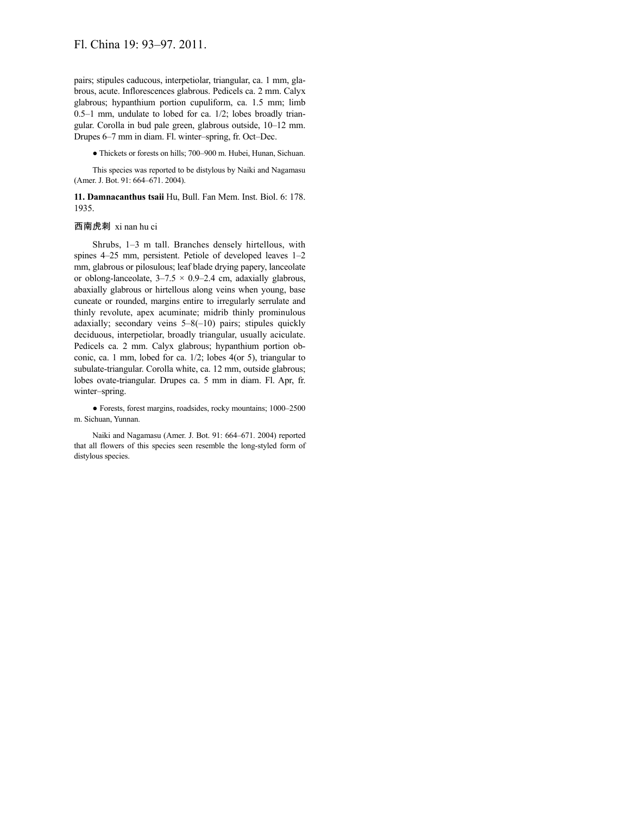pairs; stipules caducous, interpetiolar, triangular, ca. 1 mm, glabrous, acute. Inflorescences glabrous. Pedicels ca. 2 mm. Calyx glabrous; hypanthium portion cupuliform, ca. 1.5 mm; limb 0.5–1 mm, undulate to lobed for ca. 1/2; lobes broadly triangular. Corolla in bud pale green, glabrous outside, 10–12 mm. Drupes 6–7 mm in diam. Fl. winter–spring, fr. Oct–Dec.

● Thickets or forests on hills; 700–900 m. Hubei, Hunan, Sichuan.

This species was reported to be distylous by Naiki and Nagamasu (Amer. J. Bot. 91: 664–671. 2004).

**11. Damnacanthus tsaii** Hu, Bull. Fan Mem. Inst. Biol. 6: 178. 1935.

## 西南虎刺 xi nan hu ci

Shrubs, 1–3 m tall. Branches densely hirtellous, with spines 4–25 mm, persistent. Petiole of developed leaves 1–2 mm, glabrous or pilosulous; leaf blade drying papery, lanceolate or oblong-lanceolate,  $3-7.5 \times 0.9-2.4$  cm, adaxially glabrous, abaxially glabrous or hirtellous along veins when young, base cuneate or rounded, margins entire to irregularly serrulate and thinly revolute, apex acuminate; midrib thinly prominulous adaxially; secondary veins 5–8(–10) pairs; stipules quickly deciduous, interpetiolar, broadly triangular, usually aciculate. Pedicels ca. 2 mm. Calyx glabrous; hypanthium portion obconic, ca. 1 mm, lobed for ca. 1/2; lobes 4(or 5), triangular to subulate-triangular. Corolla white, ca. 12 mm, outside glabrous; lobes ovate-triangular. Drupes ca. 5 mm in diam. Fl. Apr, fr. winter–spring.

● Forests, forest margins, roadsides, rocky mountains; 1000–2500 m. Sichuan, Yunnan.

Naiki and Nagamasu (Amer. J. Bot. 91: 664–671. 2004) reported that all flowers of this species seen resemble the long-styled form of distylous species.